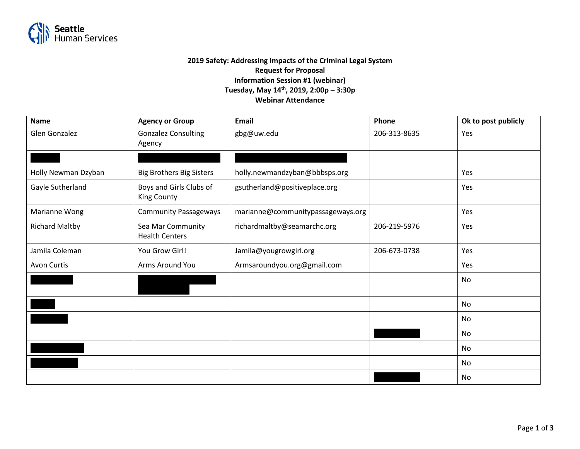

## **2019 Safety: Addressing Impacts of the Criminal Legal System Request for Proposal Information Session #1 (webinar) Tuesday, May 14th, 2019, 2:00p – 3:30p Webinar Attendance**

| <b>Name</b>           | <b>Agency or Group</b>                        | <b>Email</b>                      | Phone        | Ok to post publicly |
|-----------------------|-----------------------------------------------|-----------------------------------|--------------|---------------------|
| <b>Glen Gonzalez</b>  | <b>Gonzalez Consulting</b><br>Agency          | gbg@uw.edu                        | 206-313-8635 | Yes                 |
|                       |                                               |                                   |              |                     |
| Holly Newman Dzyban   | <b>Big Brothers Big Sisters</b>               | holly.newmandzyban@bbbsps.org     |              | Yes                 |
| Gayle Sutherland      | Boys and Girls Clubs of<br><b>King County</b> | gsutherland@positiveplace.org     |              | Yes                 |
| Marianne Wong         | <b>Community Passageways</b>                  | marianne@communitypassageways.org |              | Yes                 |
| <b>Richard Maltby</b> | Sea Mar Community<br><b>Health Centers</b>    | richardmaltby@seamarchc.org       | 206-219-5976 | Yes                 |
| Jamila Coleman        | You Grow Girl!                                | Jamila@yougrowgirl.org            | 206-673-0738 | Yes                 |
| <b>Avon Curtis</b>    | Arms Around You                               | Armsaroundyou.org@gmail.com       |              | Yes                 |
|                       |                                               |                                   |              | No                  |
|                       |                                               |                                   |              | No                  |
|                       |                                               |                                   |              | No                  |
|                       |                                               |                                   |              | No                  |
|                       |                                               |                                   |              | No                  |
|                       |                                               |                                   |              | No                  |
|                       |                                               |                                   |              | No                  |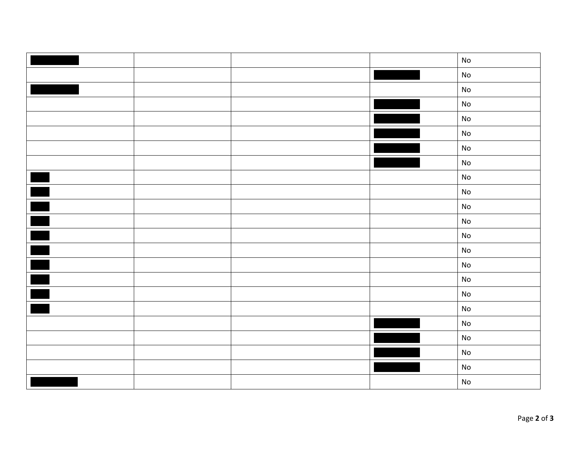|                          |  | ${\sf No}$                   |
|--------------------------|--|------------------------------|
|                          |  | $\operatorname{\mathsf{No}}$ |
|                          |  | $\operatorname{\mathsf{No}}$ |
|                          |  | $\operatorname{\mathsf{No}}$ |
|                          |  | ${\sf No}$                   |
|                          |  | $\operatorname{\mathsf{No}}$ |
|                          |  | $\operatorname{\mathsf{No}}$ |
|                          |  | $\operatorname{\mathsf{No}}$ |
|                          |  | $\operatorname{\mathsf{No}}$ |
|                          |  | $\operatorname{\mathsf{No}}$ |
|                          |  | $\operatorname{\mathsf{No}}$ |
|                          |  | ${\sf No}$                   |
|                          |  | ${\sf No}$                   |
| $\blacksquare$           |  | $\operatorname{\mathsf{No}}$ |
|                          |  | $\operatorname{\mathsf{No}}$ |
| $\blacksquare$           |  | ${\sf No}$                   |
| $\overline{\phantom{a}}$ |  | $\mathsf{No}$                |
|                          |  | ${\sf No}$                   |
|                          |  | $\operatorname{\mathsf{No}}$ |
|                          |  | ${\sf No}$                   |
|                          |  | $\operatorname{\mathsf{No}}$ |
|                          |  | $\operatorname{\mathsf{No}}$ |
|                          |  | ${\sf No}$                   |